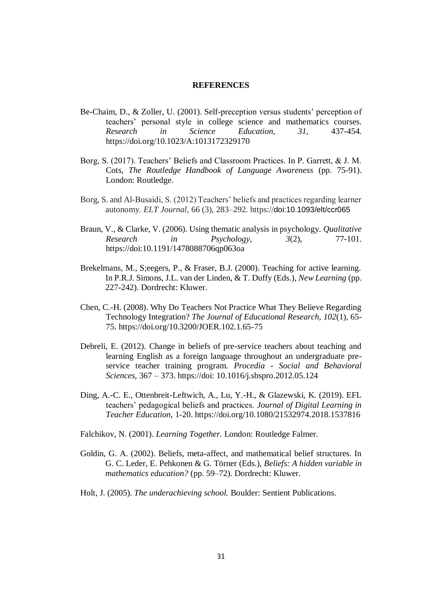## **REFERENCES**

- Be-Chaim, D., & Zoller, U. (2001). Self-preception versus students' perception of teachers' personal style in college science and mathematics courses. *Research in Science Education, 31,* 437-454. <https://doi.org/10.1023/A:1013172329170>
- Borg, S. (2017). Teachers' Beliefs and Classroom Practices. In P. Garrett, & J. M. Cots, *The Routledge Handbook of Language Awareness* (pp. 75-91). London: Routledge.
- Borg, S. and Al-Busaidi, S. (2012) Teachers' beliefs and practices regarding learner autonomy. *ELT Journal*, 66 (3), 283–292. https://doi:10.1093/elt/ccr065
- Braun, V., & Clarke, V. (2006). Using thematic analysis in psychology. *Qualitative Research in Psychology, 3*(2), 77-101. <https://doi:10.1191/1478088706qp063oa>
- Brekelmans, M., S; eegers, P., & Fraser, B.J. (2000). Teaching for active learning. In P.R.J. Simons, J.L. van der Linden, & T. Duffy (Eds.), *New Learning* (pp. 227-242). Dordrecht: Kluwer.
- Chen, C.-H. (2008). Why Do Teachers Not Practice What They Believe Regarding Technology Integration? *The Journal of Educational Research, 102*(1), 65- 75. https://doi.org/10.3200/JOER.102.1.65-75
- Debreli, E. (2012). Change in beliefs of pre-service teachers about teaching and learning English as a foreign language throughout an undergraduate preservice teacher training program. *Procedia - Social and Behavioral Sciences*, 367 – 373. https://doi: 10.1016/j.sbspro.2012.05.124
- Ding, A.-C. E., Ottenbreit-Leftwich, A., Lu, Y.-H., & Glazewski, K. (2019). EFL teachers' pedagogical beliefs and practices. *Journal of Digital Learning in Teacher Education*, 1-20. https://doi.org/10.1080/21532974.2018.1537816
- Falchikov, N. (2001). *Learning Together.* London: Routledge Falmer.
- Goldin, G. A. (2002). Beliefs, meta-affect, and mathematical belief structures. In G. C. Leder, E. Pehkonen & G. Törner (Eds.), *Beliefs: A hidden variable in mathematics education?* (pp. 59–72). Dordrecht: Kluwer.
- Holt, J. (2005). *The underachieving school.* Boulder: Sentient Publications.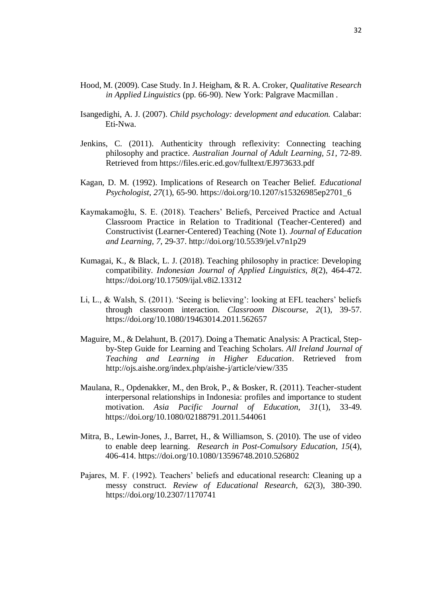- Hood, M. (2009). Case Study. In J. Heigham, & R. A. Croker, *Qualitative Research in Applied Linguistics* (pp. 66-90). New York: Palgrave Macmillan .
- Isangedighi, A. J. (2007). *Child psychology: development and education.* Calabar: Eti-Nwa.
- Jenkins, C. (2011). Authenticity through reflexivity: Connecting teaching philosophy and practice. *Australian Journal of Adult Learning, 51*, 72-89. Retrieved from https://files.eric.ed.gov/fulltext/EJ973633.pdf
- Kagan, D. M. (1992). Implications of Research on Teacher Belief. *Educational Psychologist, 27*(1), 65-90. https://doi.org/10.1207/s15326985ep2701\_6
- Kaymakamoğlu, S. E. (2018). Teachers' Beliefs, Perceived Practice and Actual Classroom Practice in Relation to Traditional (Teacher-Centered) and Constructivist (Learner-Centered) Teaching (Note 1). *Journal of Education and Learning, 7*, 29-37. http://doi.org/10.5539/jel.v7n1p29
- Kumagai, K., & Black, L. J. (2018). Teaching philosophy in practice: Developing compatibility. *Indonesian Journal of Applied Linguistics, 8*(2), 464-472. https://doi.org/10.17509/ijal.v8i2.13312
- Li, L., & Walsh, S. (2011). 'Seeing is believing': looking at EFL teachers' beliefs through classroom interaction. *Classroom Discourse, 2*(1), 39-57. https://doi.org/10.1080/19463014.2011.562657
- Maguire, M., & Delahunt, B. (2017). Doing a Thematic Analysis: A Practical, Stepby-Step Guide for Learning and Teaching Scholars. *All Ireland Journal of Teaching and Learning in Higher Education*. Retrieved from http://ojs.aishe.org/index.php/aishe-j/article/view/335
- Maulana, R., Opdenakker, M., den Brok, P., & Bosker, R. (2011). Teacher-student interpersonal relationships in Indonesia: profiles and importance to student motivation. *Asia Pacific Journal of Education, 31*(1), 33-49. https://doi.org/10.1080/02188791.2011.544061
- Mitra, B., Lewin-Jones, J., Barret, H., & Williamson, S. (2010). The use of video to enable deep learning. *Research in Post-Comulsory Education, 15*(4), 406-414. https://doi.org/10.1080/13596748.2010.526802
- Pajares, M. F. (1992). Teachers' beliefs and educational research: Cleaning up a messy construct. *Review of Educational Research, 62*(3), 380-390. https://doi.org/10.2307/1170741